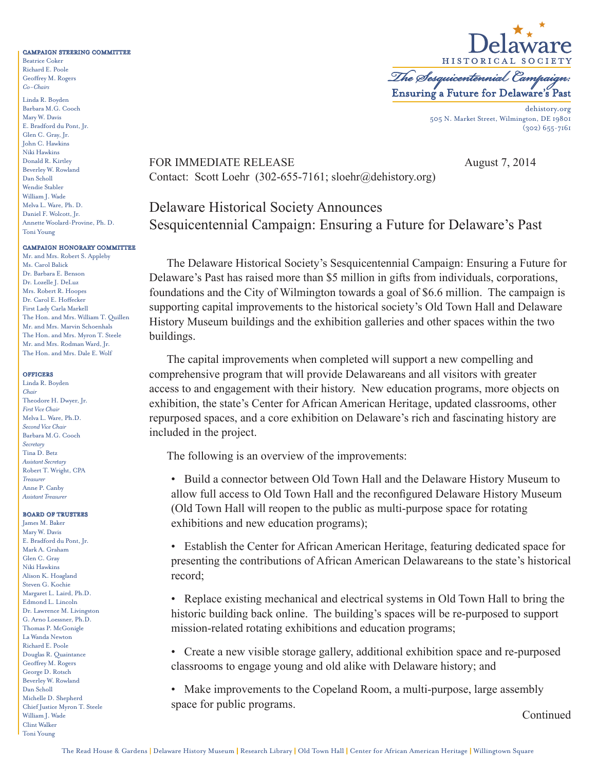#### CAMPAIGN STEERING COMMITTEE

Beatrice Coker Richard E. Poole Geoffrey M. Rogers *Co-Chairs*

Linda R. Boyden Barbara M.G. Cooch Mary W. Davis E. Bradford du Pont, Jr. Glen C. Gray, Jr. John C. Hawkins Niki Hawkins Donald R. Kirtley Beverley W. Rowland Dan Scholl Wendie Stabler William J. Wade Melva L. Ware, Ph. D. Daniel F. Wolcott, Jr. Annette Woolard-Provine, Ph. D. Toni Young

## CAMPAIGN HONORARY COMMITTEE

Mr. and Mrs. Robert S. Appleby Ms. Carol Balick Dr. Barbara E. Benson Dr. Lozelle J. DeLuz Mrs. Robert R. Hoopes Dr. Carol E. Hoffecker First Lady Carla Markell The Hon. and Mrs. William T. Quillen Mr. and Mrs. Marvin Schoenhals The Hon. and Mrs. Myron T. Steele Mr. and Mrs. Rodman Ward, Jr. The Hon. and Mrs. Dale E. Wolf

#### **OFFICERS**

Linda R. Boyden *Chair* Theodore H. Dwyer, Jr. *First Vice Chair* Melva L. Ware, Ph.D. *Second Vice Chair* Barbara M.G. Cooch *Secretary* Tina D. Betz *Assistant Secretary* Robert T. Wright, CPA *Treasurer* Anne P. Canby *Assistant Treasurer*

## BOARD OF TRUSTEES

James M. Baker Mary W. Davis E. Bradford du Pont, Jr. Mark A. Graham Glen C. Gray Niki Hawkins Alison K. Hoagland Steven G. Kochie Margaret L. Laird, Ph.D. Edmond L. Lincoln Dr. Lawrence M. Livingston G. Arno Loessner, Ph.D. Thomas P. McGonigle La Wanda Newton Richard E. Poole Douglas R. Quaintance Geoffrey M. Rogers George D. Rotsch Beverley W. Rowland Dan Scholl Michelle D. Shepherd Chief Justice Myron T. Steele William J. Wade Clint Walker Toni Young



505 N. Market Street, Wilmington, DE 19801 (302) 655-7161

## FOR IMMEDIATE RELEASE August 7, 2014 Contact: Scott Loehr (302-655-7161; sloehr@dehistory.org)

# Delaware Historical Society Announces Sesquicentennial Campaign: Ensuring a Future for Delaware's Past

The Delaware Historical Society's Sesquicentennial Campaign: Ensuring a Future for Delaware's Past has raised more than \$5 million in gifts from individuals, corporations, foundations and the City of Wilmington towards a goal of \$6.6 million. The campaign is supporting capital improvements to the historical society's Old Town Hall and Delaware History Museum buildings and the exhibition galleries and other spaces within the two buildings.

The capital improvements when completed will support a new compelling and comprehensive program that will provide Delawareans and all visitors with greater access to and engagement with their history. New education programs, more objects on exhibition, the state's Center for African American Heritage, updated classrooms, other repurposed spaces, and a core exhibition on Delaware's rich and fascinating history are included in the project.

The following is an overview of the improvements:

• Build a connector between Old Town Hall and the Delaware History Museum to allow full access to Old Town Hall and the reconfigured Delaware History Museum (Old Town Hall will reopen to the public as multi-purpose space for rotating exhibitions and new education programs);

• Establish the Center for African American Heritage, featuring dedicated space for presenting the contributions of African American Delawareans to the state's historical record;

• Replace existing mechanical and electrical systems in Old Town Hall to bring the historic building back online. The building's spaces will be re-purposed to support mission-related rotating exhibitions and education programs;

• Create a new visible storage gallery, additional exhibition space and re-purposed classrooms to engage young and old alike with Delaware history; and

• Make improvements to the Copeland Room, a multi-purpose, large assembly space for public programs.

Continued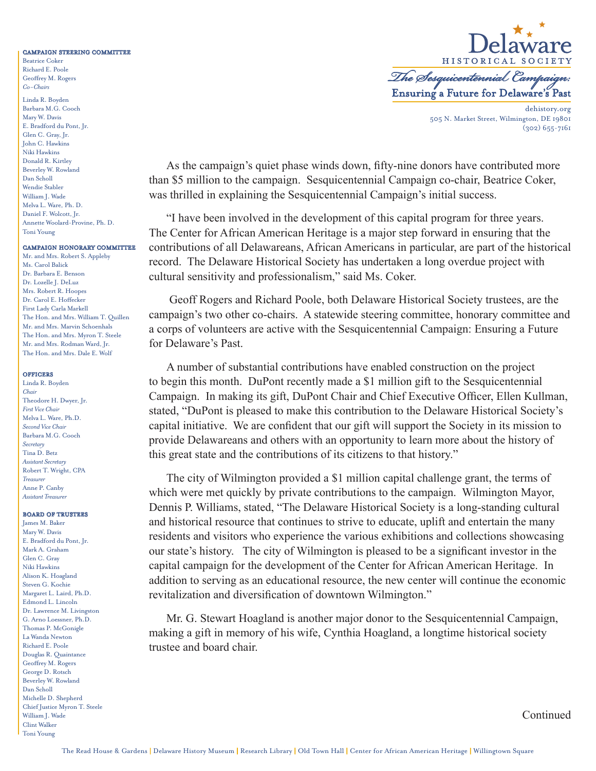#### CAMPAIGN STEERING COMMITTEE

Beatrice Coker Richard E. Poole Geoffrey M. Rogers *Co-Chairs*

Linda R. Boyden Barbara M.G. Cooch Mary W. Davis E. Bradford du Pont, Jr. Glen C. Gray, Jr. John C. Hawkins Niki Hawkins Donald R. Kirtley Beverley W. Rowland Dan Scholl Wendie Stabler William J. Wade Melva L. Ware, Ph. D. Daniel F. Wolcott, Jr. Annette Woolard-Provine, Ph. D. Toni Young

## CAMPAIGN HONORARY COMMITTEE

Mr. and Mrs. Robert S. Appleby Ms. Carol Balick Dr. Barbara E. Benson Dr. Lozelle J. DeLuz Mrs. Robert R. Hoopes Dr. Carol E. Hoffecker First Lady Carla Markell The Hon. and Mrs. William T. Quillen Mr. and Mrs. Marvin Schoenhals The Hon. and Mrs. Myron T. Steele Mr. and Mrs. Rodman Ward, Jr. The Hon. and Mrs. Dale E. Wolf

#### **OFFICERS**

Linda R. Boyden *Chair* Theodore H. Dwyer, Jr. *First Vice Chair* Melva L. Ware, Ph.D. *Second Vice Chair* Barbara M.G. Cooch *Secretary* Tina D. Betz *Assistant Secretary* Robert T. Wright, CPA *Treasurer* Anne P. Canby *Assistant Treasurer*

## BOARD OF TRUSTEES

James M. Baker Mary W. Davis E. Bradford du Pont, Jr. Mark A. Graham Glen C. Gray Niki Hawkins Alison K. Hoagland Steven G. Kochie Margaret L. Laird, Ph.D. Edmond L. Lincoln Dr. Lawrence M. Livingston G. Arno Loessner, Ph.D. Thomas P. McGonigle La Wanda Newton Richard E. Poole Douglas R. Quaintance Geoffrey M. Rogers George D. Rotsch Beverley W. Rowland Dan Scholl Michelle D. Shepherd Chief Justice Myron T. Steele William J. Wade Clint Walker Toni Young



505 N. Market Street, Wilmington, DE 19801 (302) 655-7161

As the campaign's quiet phase winds down, fifty-nine donors have contributed more than \$5 million to the campaign. Sesquicentennial Campaign co-chair, Beatrice Coker, was thrilled in explaining the Sesquicentennial Campaign's initial success.

"I have been involved in the development of this capital program for three years. The Center for African American Heritage is a major step forward in ensuring that the contributions of all Delawareans, African Americans in particular, are part of the historical record. The Delaware Historical Society has undertaken a long overdue project with cultural sensitivity and professionalism," said Ms. Coker.

 Geoff Rogers and Richard Poole, both Delaware Historical Society trustees, are the campaign's two other co-chairs. A statewide steering committee, honorary committee and a corps of volunteers are active with the Sesquicentennial Campaign: Ensuring a Future for Delaware's Past.

A number of substantial contributions have enabled construction on the project to begin this month. DuPont recently made a \$1 million gift to the Sesquicentennial Campaign. In making its gift, DuPont Chair and Chief Executive Officer, Ellen Kullman, stated, "DuPont is pleased to make this contribution to the Delaware Historical Society's capital initiative. We are confident that our gift will support the Society in its mission to provide Delawareans and others with an opportunity to learn more about the history of this great state and the contributions of its citizens to that history."

The city of Wilmington provided a \$1 million capital challenge grant, the terms of which were met quickly by private contributions to the campaign. Wilmington Mayor, Dennis P. Williams, stated, "The Delaware Historical Society is a long-standing cultural and historical resource that continues to strive to educate, uplift and entertain the many residents and visitors who experience the various exhibitions and collections showcasing our state's history. The city of Wilmington is pleased to be a significant investor in the capital campaign for the development of the Center for African American Heritage. In addition to serving as an educational resource, the new center will continue the economic revitalization and diversification of downtown Wilmington."

Mr. G. Stewart Hoagland is another major donor to the Sesquicentennial Campaign, making a gift in memory of his wife, Cynthia Hoagland, a longtime historical society trustee and board chair.

Continued